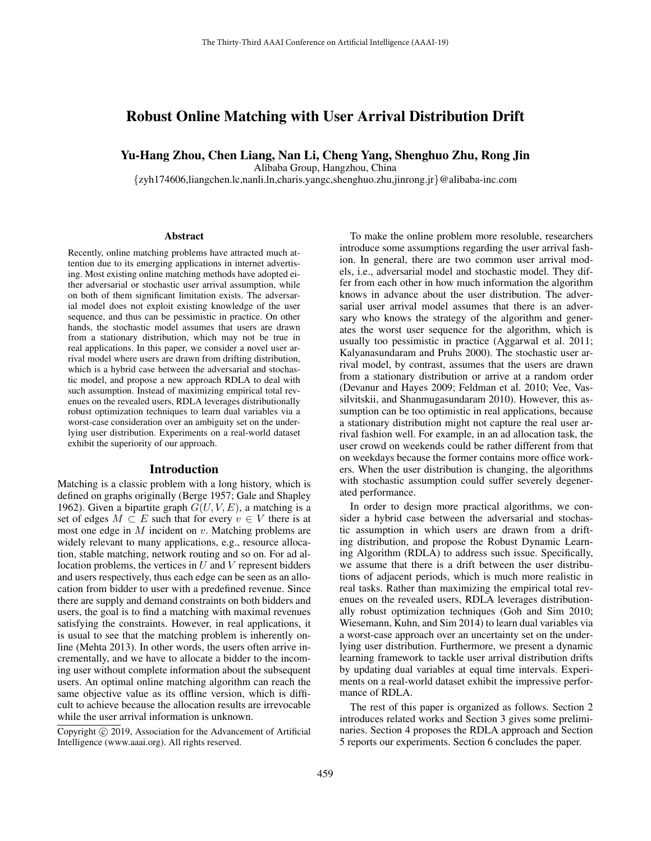# Robust Online Matching with User Arrival Distribution Drift

### Yu-Hang Zhou, Chen Liang, Nan Li, Cheng Yang, Shenghuo Zhu, Rong Jin

Alibaba Group, Hangzhou, China

{zyh174606,liangchen.lc,nanli.ln,charis.yangc,shenghuo.zhu,jinrong.jr}@alibaba-inc.com

#### Abstract

Recently, online matching problems have attracted much attention due to its emerging applications in internet advertising. Most existing online matching methods have adopted either adversarial or stochastic user arrival assumption, while on both of them significant limitation exists. The adversarial model does not exploit existing knowledge of the user sequence, and thus can be pessimistic in practice. On other hands, the stochastic model assumes that users are drawn from a stationary distribution, which may not be true in real applications. In this paper, we consider a novel user arrival model where users are drawn from drifting distribution, which is a hybrid case between the adversarial and stochastic model, and propose a new approach RDLA to deal with such assumption. Instead of maximizing empirical total revenues on the revealed users, RDLA leverages distributionally robust optimization techniques to learn dual variables via a worst-case consideration over an ambiguity set on the underlying user distribution. Experiments on a real-world dataset exhibit the superiority of our approach.

#### Introduction

Matching is a classic problem with a long history, which is defined on graphs originally [\(Berge 1957;](#page-7-0) [Gale and Shapley](#page-7-1) [1962\)](#page-7-1). Given a bipartite graph  $G(U, V, E)$ , a matching is a set of edges  $M \subset E$  such that for every  $v \in V$  there is at most one edge in  $M$  incident on  $v$ . Matching problems are widely relevant to many applications, e.g., resource allocation, stable matching, network routing and so on. For ad allocation problems, the vertices in  $U$  and  $V$  represent bidders and users respectively, thus each edge can be seen as an allocation from bidder to user with a predefined revenue. Since there are supply and demand constraints on both bidders and users, the goal is to find a matching with maximal revenues satisfying the constraints. However, in real applications, it is usual to see that the matching problem is inherently online [\(Mehta 2013\)](#page-7-2). In other words, the users often arrive incrementally, and we have to allocate a bidder to the incoming user without complete information about the subsequent users. An optimal online matching algorithm can reach the same objective value as its offline version, which is difficult to achieve because the allocation results are irrevocable while the user arrival information is unknown.

Copyright © 2019, Association for the Advancement of Artificial Intelligence (www.aaai.org). All rights reserved.

To make the online problem more resoluble, researchers introduce some assumptions regarding the user arrival fashion. In general, there are two common user arrival models, i.e., adversarial model and stochastic model. They differ from each other in how much information the algorithm knows in advance about the user distribution. The adversarial user arrival model assumes that there is an adversary who knows the strategy of the algorithm and generates the worst user sequence for the algorithm, which is usually too pessimistic in practice [\(Aggarwal et al. 2011;](#page-6-0) [Kalyanasundaram and Pruhs 2000\)](#page-7-3). The stochastic user arrival model, by contrast, assumes that the users are drawn from a stationary distribution or arrive at a random order [\(Devanur and Hayes 2009;](#page-7-4) [Feldman et al. 2010;](#page-7-5) [Vee, Vas](#page-7-6)[silvitskii, and Shanmugasundaram 2010\)](#page-7-6). However, this assumption can be too optimistic in real applications, because a stationary distribution might not capture the real user arrival fashion well. For example, in an ad allocation task, the user crowd on weekends could be rather different from that on weekdays because the former contains more office workers. When the user distribution is changing, the algorithms with stochastic assumption could suffer severely degenerated performance.

In order to design more practical algorithms, we consider a hybrid case between the adversarial and stochastic assumption in which users are drawn from a drifting distribution, and propose the Robust Dynamic Learning Algorithm (RDLA) to address such issue. Specifically, we assume that there is a drift between the user distributions of adjacent periods, which is much more realistic in real tasks. Rather than maximizing the empirical total revenues on the revealed users, RDLA leverages distributionally robust optimization techniques [\(Goh and Sim 2010;](#page-7-7) [Wiesemann, Kuhn, and Sim 2014\)](#page-7-8) to learn dual variables via a worst-case approach over an uncertainty set on the underlying user distribution. Furthermore, we present a dynamic learning framework to tackle user arrival distribution drifts by updating dual variables at equal time intervals. Experiments on a real-world dataset exhibit the impressive performance of RDLA.

The rest of this paper is organized as follows. Section 2 introduces related works and Section 3 gives some preliminaries. Section 4 proposes the RDLA approach and Section 5 reports our experiments. Section 6 concludes the paper.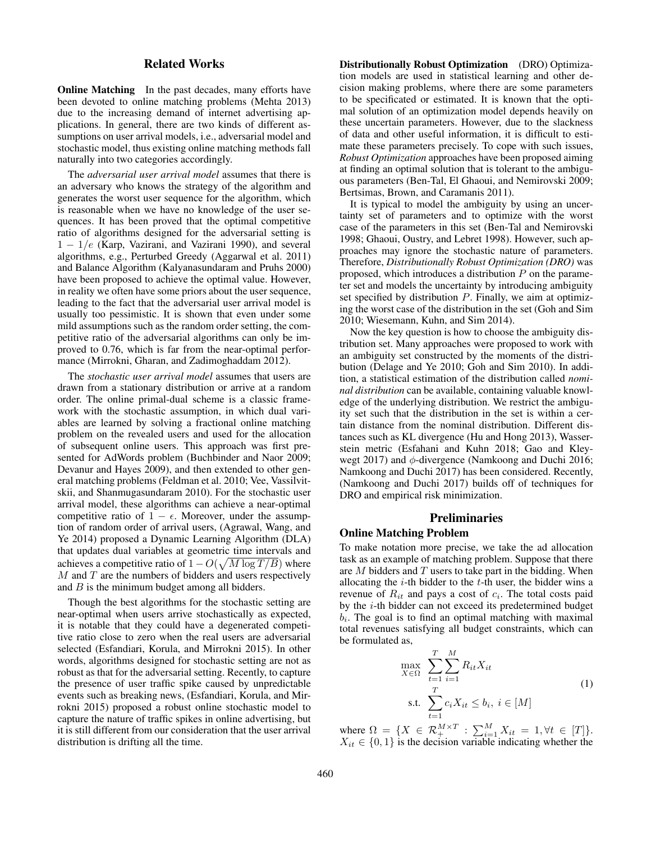### Related Works

**Online Matching** In the past decades, many efforts have been devoted to online matching problems [\(Mehta 2013\)](#page-7-2) due to the increasing demand of internet advertising applications. In general, there are two kinds of different assumptions on user arrival models, i.e., adversarial model and stochastic model, thus existing online matching methods fall naturally into two categories accordingly.

The *adversarial user arrival model* assumes that there is an adversary who knows the strategy of the algorithm and generates the worst user sequence for the algorithm, which is reasonable when we have no knowledge of the user sequences. It has been proved that the optimal competitive ratio of algorithms designed for the adversarial setting is  $1 - 1/e$  [\(Karp, Vazirani, and Vazirani 1990\)](#page-7-9), and several algorithms, e.g., Perturbed Greedy [\(Aggarwal et al. 2011\)](#page-6-0) and Balance Algorithm [\(Kalyanasundaram and Pruhs 2000\)](#page-7-3) have been proposed to achieve the optimal value. However, in reality we often have some priors about the user sequence, leading to the fact that the adversarial user arrival model is usually too pessimistic. It is shown that even under some mild assumptions such as the random order setting, the competitive ratio of the adversarial algorithms can only be improved to 0.76, which is far from the near-optimal performance [\(Mirrokni, Gharan, and Zadimoghaddam 2012\)](#page-7-10).

The *stochastic user arrival model* assumes that users are drawn from a stationary distribution or arrive at a random order. The online primal-dual scheme is a classic framework with the stochastic assumption, in which dual variables are learned by solving a fractional online matching problem on the revealed users and used for the allocation of subsequent online users. This approach was first presented for AdWords problem [\(Buchbinder and Naor 2009;](#page-7-11) [Devanur and Hayes 2009\)](#page-7-4), and then extended to other general matching problems [\(Feldman et al. 2010;](#page-7-5) [Vee, Vassilvit](#page-7-6)[skii, and Shanmugasundaram 2010\)](#page-7-6). For the stochastic user arrival model, these algorithms can achieve a near-optimal competitive ratio of  $1 - \epsilon$ . Moreover, under the assumption of random order of arrival users, [\(Agrawal, Wang, and](#page-6-1) [Ye 2014\)](#page-6-1) proposed a Dynamic Learning Algorithm (DLA) that updates dual variables at geometric time intervals and achieves a competitive ratio of  $1 - O(\sqrt{M \log T/B})$  where  $M$  and  $T$  are the numbers of bidders and users respectively and  $B$  is the minimum budget among all bidders.

Though the best algorithms for the stochastic setting are near-optimal when users arrive stochastically as expected, it is notable that they could have a degenerated competitive ratio close to zero when the real users are adversarial selected [\(Esfandiari, Korula, and Mirrokni 2015\)](#page-7-12). In other words, algorithms designed for stochastic setting are not as robust as that for the adversarial setting. Recently, to capture the presence of user traffic spike caused by unpredictable events such as breaking news, [\(Esfandiari, Korula, and Mir](#page-7-12)[rokni 2015\)](#page-7-12) proposed a robust online stochastic model to capture the nature of traffic spikes in online advertising, but it is still different from our consideration that the user arrival distribution is drifting all the time.

Distributionally Robust Optimization (DRO) Optimization models are used in statistical learning and other decision making problems, where there are some parameters to be specificated or estimated. It is known that the optimal solution of an optimization model depends heavily on these uncertain parameters. However, due to the slackness of data and other useful information, it is difficult to estimate these parameters precisely. To cope with such issues, *Robust Optimization* approaches have been proposed aiming at finding an optimal solution that is tolerant to the ambiguous parameters [\(Ben-Tal, El Ghaoui, and Nemirovski 2009;](#page-7-13) [Bertsimas, Brown, and Caramanis 2011\)](#page-7-14).

It is typical to model the ambiguity by using an uncertainty set of parameters and to optimize with the worst case of the parameters in this set [\(Ben-Tal and Nemirovski](#page-7-15) [1998;](#page-7-15) [Ghaoui, Oustry, and Lebret 1998\)](#page-7-16). However, such approaches may ignore the stochastic nature of parameters. Therefore, *Distributionally Robust Optimization (DRO)* was proposed, which introduces a distribution  $P$  on the parameter set and models the uncertainty by introducing ambiguity set specified by distribution  $P$ . Finally, we aim at optimizing the worst case of the distribution in the set [\(Goh and Sim](#page-7-7) [2010;](#page-7-7) [Wiesemann, Kuhn, and Sim 2014\)](#page-7-8).

Now the key question is how to choose the ambiguity distribution set. Many approaches were proposed to work with an ambiguity set constructed by the moments of the distribution [\(Delage and Ye 2010;](#page-7-17) [Goh and Sim 2010\)](#page-7-7). In addition, a statistical estimation of the distribution called *nominal distribution* can be available, containing valuable knowledge of the underlying distribution. We restrict the ambiguity set such that the distribution in the set is within a certain distance from the nominal distribution. Different distances such as KL divergence [\(Hu and Hong 2013\)](#page-7-18), Wasserstein metric [\(Esfahani and Kuhn 2018;](#page-7-19) [Gao and Kley](#page-7-20)[wegt 2017\)](#page-7-20) and  $\phi$ -divergence [\(Namkoong and Duchi 2016;](#page-7-21) [Namkoong and Duchi 2017\)](#page-7-22) has been considered. Recently, [\(Namkoong and Duchi 2017\)](#page-7-22) builds off of techniques for DRO and empirical risk minimization.

#### **Preliminaries**

#### Online Matching Problem

To make notation more precise, we take the ad allocation task as an example of matching problem. Suppose that there are  $M$  bidders and  $T$  users to take part in the bidding. When allocating the  $i$ -th bidder to the  $t$ -th user, the bidder wins a revenue of  $R_{it}$  and pays a cost of  $c_i$ . The total costs paid by the  $i$ -th bidder can not exceed its predetermined budget  $b_i$ . The goal is to find an optimal matching with maximal total revenues satisfying all budget constraints, which can be formulated as,

$$
\max_{X \in \Omega} \sum_{t=1}^{T} \sum_{i=1}^{M} R_{it} X_{it}
$$
\n
$$
\text{s.t. } \sum_{t=1}^{T} c_{i} X_{it} \le b_{i}, \ i \in [M]
$$
\n
$$
(1)
$$

<span id="page-1-0"></span>where  $\Omega = \{X \in \mathcal{R}_+^{M \times T} : \sum_{i=1}^M X_{it} = 1, \forall t \in [T] \}.$  $X_{it} \in \{0,1\}$  is the decision variable indicating whether the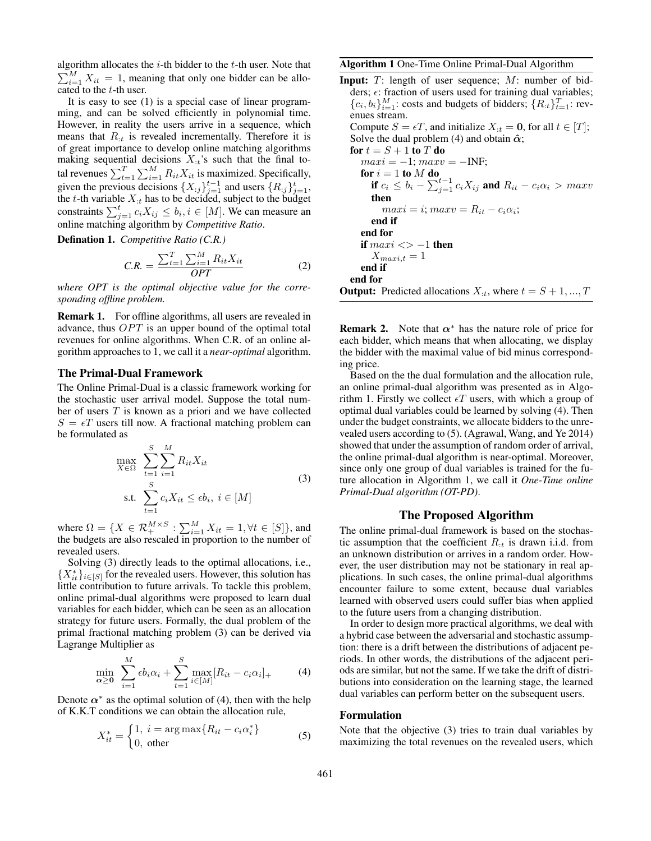algorithm allocates the  $i$ -th bidder to the  $t$ -th user. Note that  $\sum_{i=1}^{M} X_{it} = 1$ , meaning that only one bidder can be allocated to the t-th user.

It is easy to see [\(1\)](#page-1-0) is a special case of linear programming, and can be solved efficiently in polynomial time. However, in reality the users arrive in a sequence, which means that  $R_{it}$  is revealed incrementally. Therefore it is of great importance to develop online matching algorithms making sequential decisions  $X_{:t}$ 's such that the final total revenues  $\sum_{t=1}^{T} \sum_{i=1}^{M} R_{it} X_{it}$  is maximized. Specifically, given the previous decisions  $\{X_{:j}\}_{j=1}^{t-1}$  and users  $\{R_{:j}\}_{j=1}^{t}$ , the t-th variable  $X_{:t}$  has to be decided, subject to the budget constraints  $\sum_{j=1}^{t} c_i X_{ij} \leq b_i, i \in [M]$ . We can measure an online matching algorithm by *Competitive Ratio*.

Defination 1. *Competitive Ratio (C.R.)*

$$
C.R. = \frac{\sum_{t=1}^{T} \sum_{i=1}^{M} R_{it} X_{it}}{OPT}
$$
 (2)

*where OPT is the optimal objective value for the corresponding offline problem.*

Remark 1. For offline algorithms, all users are revealed in advance, thus  $OPT$  is an upper bound of the optimal total revenues for online algorithms. When C.R. of an online algorithm approaches to 1, we call it a *near-optimal* algorithm.

### The Primal-Dual Framework

The Online Primal-Dual is a classic framework working for the stochastic user arrival model. Suppose the total number of users  $T$  is known as a priori and we have collected  $S = \epsilon T$  users till now. A fractional matching problem can be formulated as

$$
\max_{X \in \Omega} \sum_{t=1}^{S} \sum_{i=1}^{M} R_{it} X_{it}
$$
\n
$$
\text{s.t. } \sum_{t=1}^{S} c_{i} X_{it} \le \epsilon b_{i}, \ i \in [M]
$$
\n
$$
(3)
$$

<span id="page-2-0"></span>where  $\Omega = \{ X \in \mathcal{R}_+^{M \times S} : \sum_{i=1}^M X_{it} = 1, \forall t \in [S] \}$ , and the budgets are also rescaled in proportion to the number of revealed users.

Solving [\(3\)](#page-2-0) directly leads to the optimal allocations, i.e.,  $\{X_{it}^*\}_{i\in[S]}$  for the revealed users. However, this solution has little contribution to future arrivals. To tackle this problem, online primal-dual algorithms were proposed to learn dual variables for each bidder, which can be seen as an allocation strategy for future users. Formally, the dual problem of the primal fractional matching problem [\(3\)](#page-2-0) can be derived via Lagrange Multiplier as

$$
\min_{\alpha \ge 0} \sum_{i=1}^{M} \epsilon b_i \alpha_i + \sum_{t=1}^{S} \max_{i \in [M]} [R_{it} - c_i \alpha_i]_+ \tag{4}
$$

<span id="page-2-1"></span>Denote  $\alpha^*$  as the optimal solution of [\(4\)](#page-2-1), then with the help of K.K.T conditions we can obtain the allocation rule,

<span id="page-2-3"></span>
$$
X_{it}^* = \begin{cases} 1, i = \arg \max \{ R_{it} - c_i \alpha_i^* \} \\ 0, \text{ other} \end{cases}
$$
 (5)

#### <span id="page-2-2"></span>Algorithm 1 One-Time Online Primal-Dual Algorithm

**Input:**  $T$ : length of user sequence;  $M$ : number of bidders;  $\epsilon$ : fraction of users used for training dual variables;  ${c_i, b_i}_{i=1}^M$ : costs and budgets of bidders;  ${R_{:t}}_{t=1}^T$ : revenues stream. Compute  $S = \epsilon T$ , and initialize  $X_{:t} = 0$ , for all  $t \in [T]$ ; Solve the dual problem [\(4\)](#page-2-1) and obtain  $\hat{\alpha}$ ; for  $t = S + 1$  to  $T$  do

$$
max i = -1; max v = -INF;
$$
  
\nfor  $i = 1$  to M do  
\nif  $c_i \le b_i - \sum_{j=1}^{t-1} c_i X_{ij}$  and  $R_{it} - c_i \alpha_i > max v$   
\nthen  
\n
$$
max i = i; max v = R_{it} - c_i \alpha_i;
$$
  
\nend if  
\nend for  
\nif max i  $\langle > -1$  then  
\n $X_{max i,t} = 1$   
\nend if  
\nend for  
\nOutput: Predicted allocations  $X_{:t}$ , where  $t = S + 1, ..., T$ 

**Remark 2.** Note that  $\alpha^*$  has the nature role of price for each bidder, which means that when allocating, we display the bidder with the maximal value of bid minus corresponding price.

Based on the the dual formulation and the allocation rule, an online primal-dual algorithm was presented as in Algo-rithm [1.](#page-2-2) Firstly we collect  $\epsilon T$  users, with which a group of optimal dual variables could be learned by solving [\(4\)](#page-2-1). Then under the budget constraints, we allocate bidders to the unrevealed users according to [\(5\)](#page-2-3). [\(Agrawal, Wang, and Ye 2014\)](#page-6-1) showed that under the assumption of random order of arrival, the online primal-dual algorithm is near-optimal. Moreover, since only one group of dual variables is trained for the future allocation in Algorithm [1,](#page-2-2) we call it *One-Time online Primal-Dual algorithm (OT-PD)*.

### The Proposed Algorithm

The online primal-dual framework is based on the stochastic assumption that the coefficient  $R_{:t}$  is drawn i.i.d. from an unknown distribution or arrives in a random order. However, the user distribution may not be stationary in real applications. In such cases, the online primal-dual algorithms encounter failure to some extent, because dual variables learned with observed users could suffer bias when applied to the future users from a changing distribution.

In order to design more practical algorithms, we deal with a hybrid case between the adversarial and stochastic assumption: there is a drift between the distributions of adjacent periods. In other words, the distributions of the adjacent periods are similar, but not the same. If we take the drift of distributions into consideration on the learning stage, the learned dual variables can perform better on the subsequent users.

#### Formulation

Note that the objective [\(3\)](#page-2-0) tries to train dual variables by maximizing the total revenues on the revealed users, which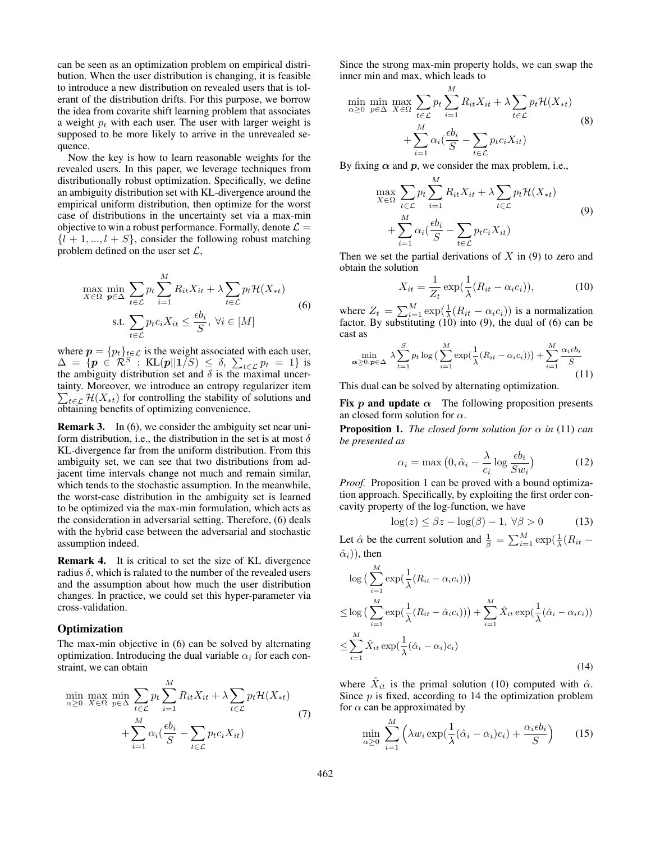can be seen as an optimization problem on empirical distribution. When the user distribution is changing, it is feasible to introduce a new distribution on revealed users that is tolerant of the distribution drifts. For this purpose, we borrow the idea from covarite shift learning problem that associates a weight  $p_t$  with each user. The user with larger weight is supposed to be more likely to arrive in the unrevealed sequence.

Now the key is how to learn reasonable weights for the revealed users. In this paper, we leverage techniques from distributionally robust optimization. Specifically, we define an ambiguity distribution set with KL-divergence around the empirical uniform distribution, then optimize for the worst case of distributions in the uncertainty set via a max-min objective to win a robust performance. Formally, denote  $\mathcal{L} =$  $\{l + 1, ..., l + S\}$ , consider the following robust matching problem defined on the user set  $\mathcal{L}$ ,

<span id="page-3-0"></span>
$$
\max_{X \in \Omega} \min_{p \in \Delta} \sum_{t \in \mathcal{L}} p_t \sum_{i=1}^M R_{it} X_{it} + \lambda \sum_{t \in \mathcal{L}} p_t \mathcal{H}(X_{*t})
$$
\n
$$
\text{s.t. } \sum_{t \in \mathcal{L}} p_t c_i X_{it} \le \frac{\epsilon b_i}{S}, \forall i \in [M]
$$
\n
$$
(6)
$$

where  $p = {p_t}_{t \in \mathcal{L}}$  is the weight associated with each user,  $\Delta = \{ \boldsymbol{p} \in \mathcal{R}^S : \text{ KL}( \boldsymbol{p} || 1/S) \leq \delta, \sum_{t \in \mathcal{L}} p_t = 1 \}$  is the ambiguity distribution set and  $\delta$  is the maximal uncertainty. Moreover, we introduce an entropy regularizer item  $\sum_{t \in \mathcal{L}} \mathcal{H}(X_{*t})$  for controlling the stability of solutions and obtaining benefits of optimizing convenience.

**Remark 3.** In [\(6\)](#page-3-0), we consider the ambiguity set near uniform distribution, i.e., the distribution in the set is at most  $\delta$ KL-divergence far from the uniform distribution. From this ambiguity set, we can see that two distributions from adjacent time intervals change not much and remain similar, which tends to the stochastic assumption. In the meanwhile, the worst-case distribution in the ambiguity set is learned to be optimized via the max-min formulation, which acts as the consideration in adversarial setting. Therefore, [\(6\)](#page-3-0) deals with the hybrid case between the adversarial and stochastic assumption indeed.

Remark 4. It is critical to set the size of KL divergence radius  $\delta$ , which is ralated to the number of the revealed users and the assumption about how much the user distribution changes. In practice, we could set this hyper-parameter via cross-validation.

### **Optimization**

The max-min objective in [\(6\)](#page-3-0) can be solved by alternating optimization. Introducing the dual variable  $\alpha_i$  for each constraint, we can obtain

$$
\min_{\alpha \geq 0} \max_{X \in \Omega} \min_{p \in \Delta} \sum_{t \in \mathcal{L}} p_t \sum_{i=1}^M R_{it} X_{it} + \lambda \sum_{t \in \mathcal{L}} p_t \mathcal{H}(X_{*t}) + \sum_{i=1}^M \alpha_i \left( \frac{\epsilon b_i}{S} - \sum_{t \in \mathcal{L}} p_t c_i X_{it} \right) \tag{7}
$$

Since the strong max-min property holds, we can swap the inner min and max, which leads to

$$
\min_{\alpha \geq 0} \min_{p \in \Delta} \max_{X \in \Omega} \sum_{t \in \mathcal{L}} p_t \sum_{i=1}^M R_{it} X_{it} + \lambda \sum_{t \in \mathcal{L}} p_t \mathcal{H}(X_{*t})
$$
\n
$$
+ \sum_{i=1}^M \alpha_i \left( \frac{\epsilon b_i}{S} - \sum_{t \in \mathcal{L}} p_t c_i X_{it} \right)
$$
\n(8)

<span id="page-3-1"></span>By fixing  $\alpha$  and p, we consider the max problem, i.e.,

$$
\max_{X \in \Omega} \sum_{t \in \mathcal{L}} p_t \sum_{i=1}^M R_{it} X_{it} + \lambda \sum_{t \in \mathcal{L}} p_t \mathcal{H}(X_{*t})
$$
\n
$$
+ \sum_{i=1}^M \alpha_i \left( \frac{\epsilon b_i}{S} - \sum_{t \in \mathcal{L}} p_t c_i X_{it} \right)
$$
\n(9)

Then we set the partial derivations of  $X$  in [\(9\)](#page-3-1) to zero and obtain the solution

<span id="page-3-2"></span>
$$
X_{it} = \frac{1}{Z_t} \exp(\frac{1}{\lambda}(R_{it} - \alpha_i c_i)), \tag{10}
$$

where  $Z_t = \sum_{i=1}^{M} \exp(\frac{1}{\lambda}(R_{it} - \alpha_i c_i))$  is a normalization factor. By substituting  $(10)$  into  $(9)$ , the dual of  $(6)$  can be cast as

<span id="page-3-3"></span>
$$
\min_{\alpha \geq 0, p \in \Delta} \lambda \sum_{t=1}^{S} p_t \log \left( \sum_{i=1}^{M} \exp(\frac{1}{\lambda} (R_{it} - \alpha_i c_i)) \right) + \sum_{i=1}^{M} \frac{\alpha_i \epsilon b_i}{S} \tag{11}
$$

This dual can be solved by alternating optimization.

Fix p and update  $\alpha$  The following proposition presents an closed form solution for  $\alpha$ .

**Proposition 1.** *The closed form solution for*  $\alpha$  *in* [\(11\)](#page-3-3) *can be presented as*

$$
\alpha_i = \max\left(0, \hat{\alpha}_i - \frac{\lambda}{c_i} \log \frac{\epsilon b_i}{Sw_i}\right) \tag{12}
$$

*Proof.* Proposition 1 can be proved with a bound optimization approach. Specifically, by exploiting the first order concavity property of the log-function, we have

$$
\log(z) \le \beta z - \log(\beta) - 1, \,\forall \beta > 0 \tag{13}
$$

Let  $\hat{\alpha}$  be the current solution and  $\frac{1}{\beta} = \sum_{i=1}^{M} \exp(\frac{1}{\lambda}(R_{it} - \alpha))$  $(\hat{\alpha}_i)$ ), then

<span id="page-3-4"></span>
$$
\log\left(\sum_{i=1}^{M} \exp\left(\frac{1}{\lambda}(R_{it} - \alpha_i c_i)\right)\right)
$$
  
\n
$$
\leq \log\left(\sum_{i=1}^{M} \exp\left(\frac{1}{\lambda}(R_{it} - \hat{\alpha}_i c_i)\right)\right) + \sum_{i=1}^{M} \hat{X}_{it} \exp\left(\frac{1}{\lambda}(\hat{\alpha}_i - \alpha_i c_i)\right)
$$
  
\n
$$
\leq \sum_{i=1}^{M} \hat{X}_{it} \exp\left(\frac{1}{\lambda}(\hat{\alpha}_i - \alpha_i)c_i\right)
$$
\n(14)

where  $\hat{X}_{it}$  is the primal solution [\(10\)](#page-3-2) computed with  $\hat{\alpha}$ . Since  $p$  is fixed, according to [14](#page-3-4) the optimization problem for  $\alpha$  can be approximated by

<span id="page-3-5"></span>
$$
\min_{\alpha \ge 0} \sum_{i=1}^{M} \left( \lambda w_i \exp(\frac{1}{\lambda} (\hat{\alpha}_i - \alpha_i) c_i) + \frac{\alpha_i \epsilon b_i}{S} \right) \tag{15}
$$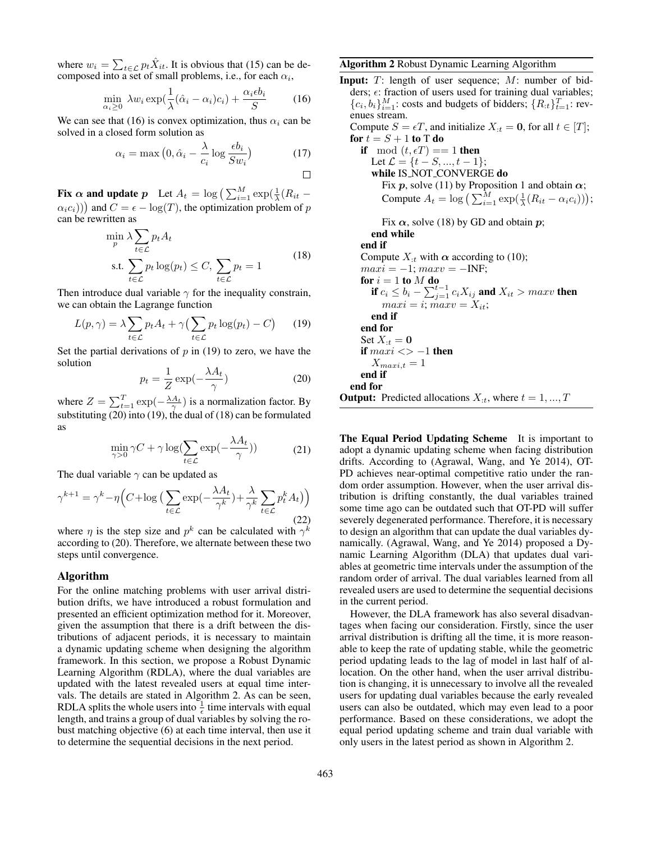where  $w_i = \sum_{t \in \mathcal{L}} p_t \hat{X}_{it}$ . It is obvious that [\(15\)](#page-3-5) can be decomposed into a set of small problems, i.e., for each  $\alpha_i$ ,

<span id="page-4-0"></span>
$$
\min_{\alpha_i \ge 0} \lambda w_i \exp\left(\frac{1}{\lambda}(\hat{\alpha}_i - \alpha_i)c_i\right) + \frac{\alpha_i \epsilon b_i}{S} \tag{16}
$$

We can see that [\(16\)](#page-4-0) is convex optimization, thus  $\alpha_i$  can be solved in a closed form solution as

$$
\alpha_i = \max\left(0, \hat{\alpha}_i - \frac{\lambda}{c_i} \log \frac{\epsilon b_i}{Sw_i}\right) \tag{17}
$$

Fix  $\alpha$  and update  $p$  Let  $A_t = \log \left( \sum_{i=1}^M \exp(\frac{1}{\lambda}(R_{it} (\alpha_i c_i))$  and  $C = \epsilon - \log(T)$ , the optimization problem of p can be rewritten as

$$
\min_{p} \lambda \sum_{t \in \mathcal{L}} p_t A_t
$$
\n
$$
\text{s.t. } \sum_{t \in \mathcal{L}} p_t \log(p_t) \le C, \sum_{t \in \mathcal{L}} p_t = 1
$$
\n
$$
(18)
$$

<span id="page-4-3"></span>Then introduce dual variable  $\gamma$  for the inequality constrain, we can obtain the Lagrange function

<span id="page-4-1"></span>
$$
L(p,\gamma) = \lambda \sum_{t \in \mathcal{L}} p_t A_t + \gamma \left( \sum_{t \in \mathcal{L}} p_t \log(p_t) - C \right) \tag{19}
$$

Set the partial derivations of  $p$  in [\(19\)](#page-4-1) to zero, we have the solution

<span id="page-4-2"></span>
$$
p_t = \frac{1}{Z} \exp(-\frac{\lambda A_t}{\gamma})
$$
 (20)

where  $Z = \sum_{t=1}^{T} \exp(-\frac{\lambda A_t}{\gamma})$  is a normalization factor. By substituting [\(20\)](#page-4-2) into [\(19\)](#page-4-1), the dual of [\(18\)](#page-4-3) can be formulated as

$$
\min_{\gamma > 0} \gamma C + \gamma \log \left( \sum_{t \in \mathcal{L}} \exp\left(-\frac{\lambda A_t}{\gamma}\right) \right) \tag{21}
$$

The dual variable  $\gamma$  can be updated as

$$
\gamma^{k+1} = \gamma^k - \eta \Big( C + \log \Big( \sum_{t \in \mathcal{L}} \exp\left( -\frac{\lambda A_t}{\gamma^k} \Big) + \frac{\lambda}{\gamma^k} \sum_{t \in \mathcal{L}} p_t^k A_t \Big) \Big)
$$
(22)

where  $\eta$  is the step size and  $p^k$  can be calculated with  $\gamma^k$ according to [\(20\)](#page-4-2). Therefore, we alternate between these two steps until convergence.

### Algorithm

For the online matching problems with user arrival distribution drifts, we have introduced a robust formulation and presented an efficient optimization method for it. Moreover, given the assumption that there is a drift between the distributions of adjacent periods, it is necessary to maintain a dynamic updating scheme when designing the algorithm framework. In this section, we propose a Robust Dynamic Learning Algorithm (RDLA), where the dual variables are updated with the latest revealed users at equal time intervals. The details are stated in Algorithm [2.](#page-4-4) As can be seen, RDLA splits the whole users into  $\frac{1}{\epsilon}$  time intervals with equal length, and trains a group of dual variables by solving the robust matching objective [\(6\)](#page-3-0) at each time interval, then use it to determine the sequential decisions in the next period.

### <span id="page-4-4"></span>Algorithm 2 Robust Dynamic Learning Algorithm

Input:  $T$ : length of user sequence;  $M$ : number of bidders;  $\epsilon$ : fraction of users used for training dual variables;  ${c_i, b_i}_{i=1}^M$ : costs and budgets of bidders;  ${R_{:t}}_{t=1}^T$ : revenues stream. Compute  $S = \epsilon T$ , and initialize  $X_{:t} = 0$ , for all  $t \in [T]$ ; for  $t = S + 1$  to T do if mod  $(t, \epsilon T) == 1$  then Let  $\mathcal{L} = \{t - S, ..., t - 1\}$ ;

while IS\_NOT\_CONVERGE do Fix p, solve [\(11\)](#page-3-3) by Proposition 1 and obtain  $\alpha$ ; Compute  $A_t = \log \left( \sum_{i=1}^M \exp(\frac{1}{\lambda}(R_{it} - \alpha_i c_i)) \right);$ 

Fix  $\alpha$ , solve [\(18\)](#page-4-3) by GD and obtain  $p$ ; end while end if Compute  $X_{t}$  with  $\alpha$  according to [\(10\)](#page-3-2);  $maxi = -1; maxv = -INF;$ for  $i=1$  to  $M$  do if  $c_i \leq b_i - \sum_{j=1}^{t-1} c_i X_{ij}$  and  $X_{it} > maxv$  then  $maxi = i; maxv = X_{it};$ end if end for Set  $X_{:t} = 0$ if  $maxi \leq -1$  then  $X_{maxi,t} = 1$ end if end for **Output:** Predicted allocations  $X_{:t}$ , where  $t = 1, ..., T$ 

The Equal Period Updating Scheme It is important to adopt a dynamic updating scheme when facing distribution drifts. According to [\(Agrawal, Wang, and Ye 2014\)](#page-6-1), OT-PD achieves near-optimal competitive ratio under the random order assumption. However, when the user arrival distribution is drifting constantly, the dual variables trained some time ago can be outdated such that OT-PD will suffer severely degenerated performance. Therefore, it is necessary to design an algorithm that can update the dual variables dynamically. [\(Agrawal, Wang, and Ye 2014\)](#page-6-1) proposed a Dynamic Learning Algorithm (DLA) that updates dual variables at geometric time intervals under the assumption of the random order of arrival. The dual variables learned from all revealed users are used to determine the sequential decisions in the current period.

However, the DLA framework has also several disadvantages when facing our consideration. Firstly, since the user arrival distribution is drifting all the time, it is more reasonable to keep the rate of updating stable, while the geometric period updating leads to the lag of model in last half of allocation. On the other hand, when the user arrival distribution is changing, it is unnecessary to involve all the revealed users for updating dual variables because the early revealed users can also be outdated, which may even lead to a poor performance. Based on these considerations, we adopt the equal period updating scheme and train dual variable with only users in the latest period as shown in Algorithm [2.](#page-4-4)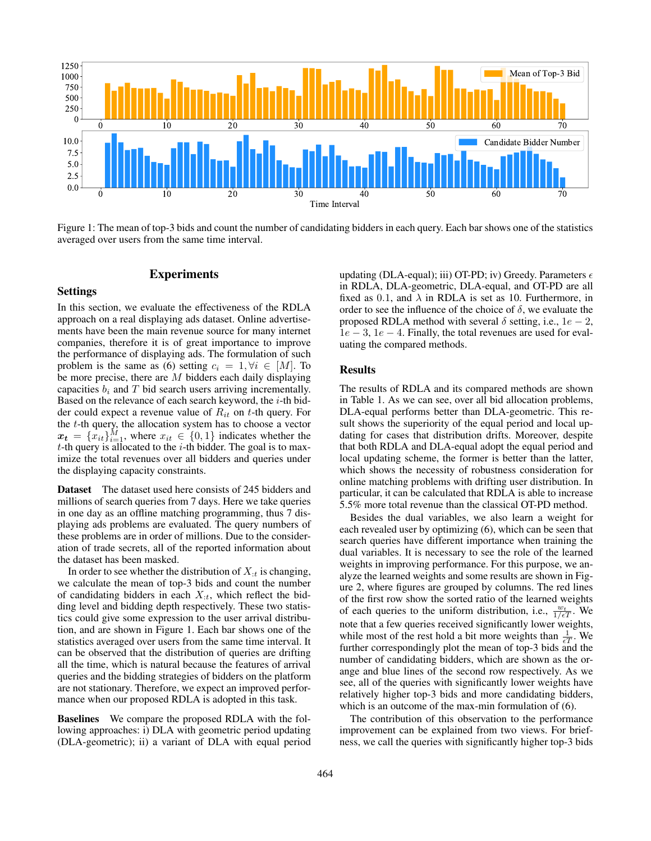<span id="page-5-0"></span>

Figure 1: The mean of top-3 bids and count the number of candidating bidders in each query. Each bar shows one of the statistics averaged over users from the same time interval.

### Experiments

### Settings

In this section, we evaluate the effectiveness of the RDLA approach on a real displaying ads dataset. Online advertisements have been the main revenue source for many internet companies, therefore it is of great importance to improve the performance of displaying ads. The formulation of such problem is the same as [\(6\)](#page-3-0) setting  $c_i = 1, \forall i \in [M]$ . To be more precise, there are  $M$  bidders each daily displaying capacities  $b_i$  and T bid search users arriving incrementally. Based on the relevance of each search keyword, the  $i$ -th bidder could expect a revenue value of  $R_{it}$  on t-th query. For the  $t$ -th query, the allocation system has to choose a vector  $x_t = \{x_{it}\}_{i=1}^M$ , where  $x_{it} \in \{0, 1\}$  indicates whether the  $t$ -th query is allocated to the  $i$ -th bidder. The goal is to maximize the total revenues over all bidders and queries under the displaying capacity constraints.

Dataset The dataset used here consists of 245 bidders and millions of search queries from 7 days. Here we take queries in one day as an offline matching programming, thus 7 displaying ads problems are evaluated. The query numbers of these problems are in order of millions. Due to the consideration of trade secrets, all of the reported information about the dataset has been masked.

In order to see whether the distribution of  $X_{:t}$  is changing, we calculate the mean of top-3 bids and count the number of candidating bidders in each  $X_{:t}$ , which reflect the bidding level and bidding depth respectively. These two statistics could give some expression to the user arrival distribution, and are shown in Figure [1.](#page-5-0) Each bar shows one of the statistics averaged over users from the same time interval. It can be observed that the distribution of queries are drifting all the time, which is natural because the features of arrival queries and the bidding strategies of bidders on the platform are not stationary. Therefore, we expect an improved performance when our proposed RDLA is adopted in this task.

Baselines We compare the proposed RDLA with the following approaches: i) DLA with geometric period updating (DLA-geometric); ii) a variant of DLA with equal period

updating (DLA-equal); iii) OT-PD; iv) Greedy. Parameters  $\epsilon$ in RDLA, DLA-geometric, DLA-equal, and OT-PD are all fixed as 0.1, and  $\lambda$  in RDLA is set as 10. Furthermore, in order to see the influence of the choice of  $\delta$ , we evaluate the proposed RDLA method with several  $\delta$  setting, i.e., 1e – 2,  $1e - 3$ ,  $1e - 4$ . Finally, the total revenues are used for evaluating the compared methods.

### **Results**

The results of RDLA and its compared methods are shown in Table [1.](#page-6-2) As we can see, over all bid allocation problems, DLA-equal performs better than DLA-geometric. This result shows the superiority of the equal period and local updating for cases that distribution drifts. Moreover, despite that both RDLA and DLA-equal adopt the equal period and local updating scheme, the former is better than the latter, which shows the necessity of robustness consideration for online matching problems with drifting user distribution. In particular, it can be calculated that RDLA is able to increase 5.5% more total revenue than the classical OT-PD method.

Besides the dual variables, we also learn a weight for each revealed user by optimizing [\(6\)](#page-3-0), which can be seen that search queries have different importance when training the dual variables. It is necessary to see the role of the learned weights in improving performance. For this purpose, we analyze the learned weights and some results are shown in Figure [2,](#page-6-3) where figures are grouped by columns. The red lines of the first row show the sorted ratio of the learned weights of each queries to the uniform distribution, i.e.,  $\frac{w_t}{1/\epsilon T}$ . We note that a few queries received significantly lower weights, while most of the rest hold a bit more weights than  $\frac{1}{\epsilon T}$ . We further correspondingly plot the mean of top-3 bids and the number of candidating bidders, which are shown as the orange and blue lines of the second row respectively. As we see, all of the queries with significantly lower weights have relatively higher top-3 bids and more candidating bidders, which is an outcome of the max-min formulation of [\(6\)](#page-3-0).

The contribution of this observation to the performance improvement can be explained from two views. For briefness, we call the queries with significantly higher top-3 bids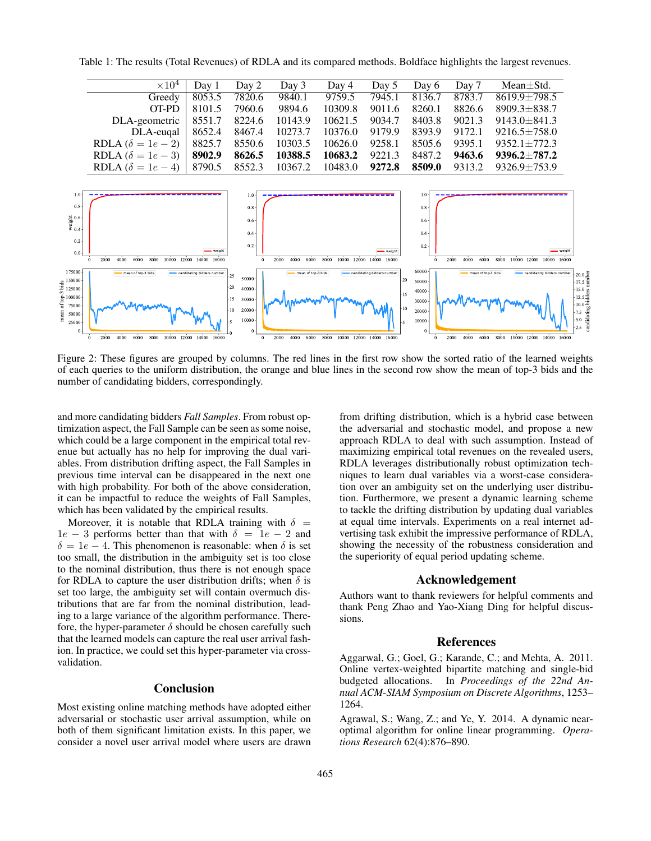$\times 10^4$  Day 1 Day 2 Day 3 Day 4 Day 5 Day 6 Day 7 Mean $\pm$ Std. Greedy 8053.5 7820.6 9840.1 9759.5 7945.1 8136.7 8783.7 8619.9±798.5 OT-PD 8101.5 7960.6 9894.6 10309.8 9011.6 8260.1 8826.6 8909.3 $\pm$ 838.7 DLA-geometric 8551.7 8224.6 10143.9 10621.5 9034.7 8403.8 9021.3 9143.0±841.3 DLA-euqal 8652.4 8467.4 10273.7 10376.0 9179.9 8393.9 9172.1 9216.5 $\pm$ 758.0<br>  $\delta = 1e - 2$  8825.7 8550.6 10303.5 10626.0 9258.1 8505.6 9395.1 9352.1 $\pm$ 772.3 RDLA  $(\delta = 1e - 2)$  8825.7 8550.6 10303.5 10626.0 9258.1 8505.6 9395.1 9352.1 $\pm$ 772.3<br>RDLA  $(\delta = 1e - 3)$  **8902.9 8626.5 10388.5 10683.2** 9221.3 8487.2 **9463.6 9396.2** $\pm$ 787.2 RDLA  $(\delta = 1e - 3)$  **8902.9 8626.5 10388.5 10683.2** 9221.3 8487.2<br>RDLA  $(\delta = 1e - 4)$  8790.5 8552.3 10367.2 10483.0 **9272.8 8509.0** RDLA  $(\delta = 1e - 4)$  8790.5 8552.3 10367.2 10483.0 **9272.8 8509.0** 9313.2 9326.9±753.9 1.0 1.0 1.0

<span id="page-6-2"></span>Table 1: The results (Total Revenues) of RDLA and its compared methods. Boldface highlights the largest revenues.

<span id="page-6-3"></span>

Figure 2: These figures are grouped by columns. The red lines in the first row show the sorted ratio of the learned weights of each queries to the uniform distribution, the orange and blue lines in the second row show the mean of top-3 bids and the number of candidating bidders, correspondingly.

and more candidating bidders *Fall Samples*. From robust optimization aspect, the Fall Sample can be seen as some noise, which could be a large component in the empirical total revenue but actually has no help for improving the dual variables. From distribution drifting aspect, the Fall Samples in previous time interval can be disappeared in the next one with high probability. For both of the above consideration, it can be impactful to reduce the weights of Fall Samples, which has been validated by the empirical results.

Moreover, it is notable that RDLA training with  $\delta$  =  $1e - 3$  performs better than that with  $\delta = 1e - 2$  and  $\delta = 1e - 4$ . This phenomenon is reasonable: when  $\delta$  is set too small, the distribution in the ambiguity set is too close to the nominal distribution, thus there is not enough space for RDLA to capture the user distribution drifts; when  $\delta$  is set too large, the ambiguity set will contain overmuch distributions that are far from the nominal distribution, leading to a large variance of the algorithm performance. Therefore, the hyper-parameter  $\delta$  should be chosen carefully such that the learned models can capture the real user arrival fashion. In practice, we could set this hyper-parameter via crossvalidation.

## **Conclusion**

Most existing online matching methods have adopted either adversarial or stochastic user arrival assumption, while on both of them significant limitation exists. In this paper, we consider a novel user arrival model where users are drawn from drifting distribution, which is a hybrid case between the adversarial and stochastic model, and propose a new approach RDLA to deal with such assumption. Instead of maximizing empirical total revenues on the revealed users, RDLA leverages distributionally robust optimization techniques to learn dual variables via a worst-case consideration over an ambiguity set on the underlying user distribution. Furthermore, we present a dynamic learning scheme to tackle the drifting distribution by updating dual variables at equal time intervals. Experiments on a real internet advertising task exhibit the impressive performance of RDLA, showing the necessity of the robustness consideration and the superiority of equal period updating scheme.

#### Acknowledgement

Authors want to thank reviewers for helpful comments and thank Peng Zhao and Yao-Xiang Ding for helpful discussions.

### References

<span id="page-6-0"></span>Aggarwal, G.; Goel, G.; Karande, C.; and Mehta, A. 2011. Online vertex-weighted bipartite matching and single-bid budgeted allocations. In *Proceedings of the 22nd Annual ACM-SIAM Symposium on Discrete Algorithms*, 1253– 1264.

<span id="page-6-1"></span>Agrawal, S.; Wang, Z.; and Ye, Y. 2014. A dynamic nearoptimal algorithm for online linear programming. *Operations Research* 62(4):876–890.